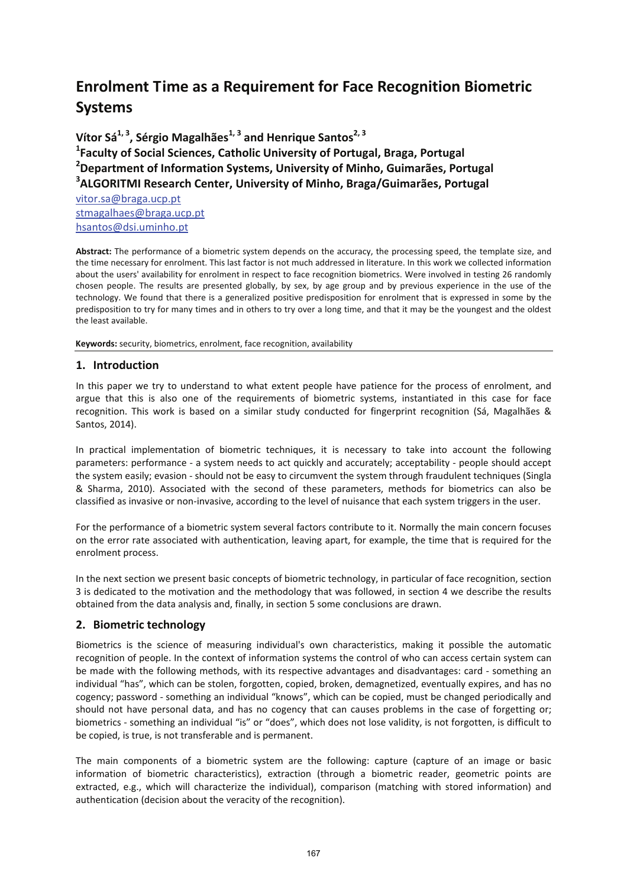# **Enrolment Time as a Requirement for Face Recognition Biometric Systems**

**Vítor Sá1, <sup>3</sup> , Sérgio Magalhães1, <sup>3</sup> and Henrique Santos2, <sup>3</sup> 1 Faculty of Social Sciences, Catholic University of Portugal, Braga, Portugal 2 Department of Information Systems, University of Minho, Guimarães, Portugal 3 ALGORITMI Research Center, University of Minho, Braga/Guimarães, Portugal** [vitor.sa@braga.ucp.pt](mailto:vitor.sa@braga.ucp.pt) [stmagalhaes@braga.ucp.pt](mailto:stmagalhaes@braga.ucp.pt) [hsantos@dsi.uminho.pt](mailto:hsantos@dsi.uminho.pt)

**Abstract:** The performance of a biometric system depends on the accuracy, the processing speed, the template size, and the time necessary for enrolment. This last factor is not much addressed in literature. In this work we collected information about the users' availability for enrolment in respect to face recognition biometrics. Were involved in testing 26 randomly chosen people. The results are presented globally, by sex, by age group and by previous experience in the use of the technology. We found that there is a generalized positive predisposition for enrolment that is expressed in some by the predisposition to try for many times and in others to try over a long time, and that it may be the youngest and the oldest the least available.

**Keywords:** security, biometrics, enrolment, face recognition, availability

### **1. Introduction**

In this paper we try to understand to what extent people have patience for the process of enrolment, and argue that this is also one of the requirements of biometric systems, instantiated in this case for face recognition. This work is based on a similar study conducted for fingerprint recognition (Sá, Magalhães & Santos, 2014).

In practical implementation of biometric techniques, it is necessary to take into account the following parameters: performance ‐ a system needs to act quickly and accurately; acceptability ‐ people should accept the system easily; evasion ‐ should not be easy to circumvent the system through fraudulent techniques (Singla & Sharma, 2010). Associated with the second of these parameters, methods for biometrics can also be classified as invasive or non‐invasive, according to the level of nuisance that each system triggers in the user.

For the performance of a biometric system several factors contribute to it. Normally the main concern focuses on the error rate associated with authentication, leaving apart, for example, the time that is required for the enrolment process.

In the next section we present basic concepts of biometric technology, in particular of face recognition, section 3 is dedicated to the motivation and the methodology that was followed, in section 4 we describe the results obtained from the data analysis and, finally, in section 5 some conclusions are drawn.

# **2. Biometric technology**

Biometrics is the science of measuring individual's own characteristics, making it possible the automatic recognition of people. In the context of information systems the control of who can access certain system can be made with the following methods, with its respective advantages and disadvantages: card - something an individual "has", which can be stolen, forgotten, copied, broken, demagnetized, eventually expires, and has no cogency; password ‐ something an individual "knows", which can be copied, must be changed periodically and should not have personal data, and has no cogency that can causes problems in the case of forgetting or; biometrics ‐ something an individual "is" or "does", which does not lose validity, is not forgotten, is difficult to be copied, is true, is not transferable and is permanent.

The main components of a biometric system are the following: capture (capture of an image or basic information of biometric characteristics), extraction (through a biometric reader, geometric points are extracted, e.g., which will characterize the individual), comparison (matching with stored information) and authentication (decision about the veracity of the recognition).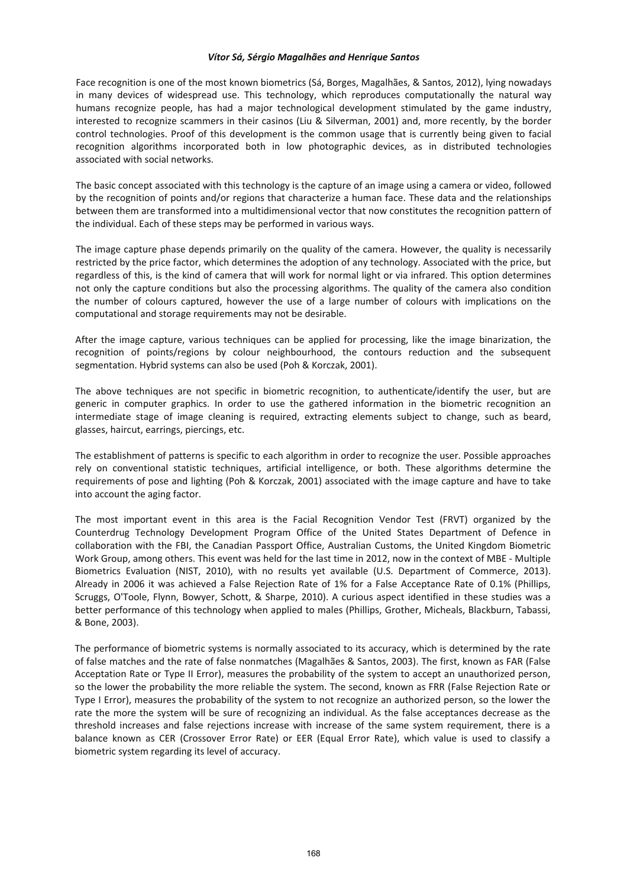### *Vítor Sá, Sérgio Magalhães and Henrique Santos*

Face recognition is one of the most known biometrics (Sá, Borges, Magalhães, & Santos, 2012), lying nowadays in many devices of widespread use. This technology, which reproduces computationally the natural way humans recognize people, has had a major technological development stimulated by the game industry, interested to recognize scammers in their casinos (Liu & Silverman, 2001) and, more recently, by the border control technologies. Proof of this development is the common usage that is currently being given to facial recognition algorithms incorporated both in low photographic devices, as in distributed technologies associated with social networks.

The basic concept associated with this technology is the capture of an image using a camera or video, followed by the recognition of points and/or regions that characterize a human face. These data and the relationships between them are transformed into a multidimensional vector that now constitutes the recognition pattern of the individual. Each of these steps may be performed in various ways.

The image capture phase depends primarily on the quality of the camera. However, the quality is necessarily restricted by the price factor, which determines the adoption of any technology. Associated with the price, but regardless of this, is the kind of camera that will work for normal light or via infrared. This option determines not only the capture conditions but also the processing algorithms. The quality of the camera also condition the number of colours captured, however the use of a large number of colours with implications on the computational and storage requirements may not be desirable.

After the image capture, various techniques can be applied for processing, like the image binarization, the recognition of points/regions by colour neighbourhood, the contours reduction and the subsequent segmentation. Hybrid systems can also be used (Poh & Korczak, 2001).

The above techniques are not specific in biometric recognition, to authenticate/identify the user, but are generic in computer graphics. In order to use the gathered information in the biometric recognition an intermediate stage of image cleaning is required, extracting elements subject to change, such as beard, glasses, haircut, earrings, piercings, etc.

The establishment of patterns is specific to each algorithm in order to recognize the user. Possible approaches rely on conventional statistic techniques, artificial intelligence, or both. These algorithms determine the requirements of pose and lighting (Poh & Korczak, 2001) associated with the image capture and have to take into account the aging factor.

The most important event in this area is the Facial Recognition Vendor Test (FRVT) organized by the Counterdrug Technology Development Program Office of the United States Department of Defence in collaboration with the FBI, the Canadian Passport Office, Australian Customs, the United Kingdom Biometric Work Group, among others. This event was held for the last time in 2012, now in the context of MBE ‐ Multiple Biometrics Evaluation (NIST, 2010), with no results yet available (U.S. Department of Commerce, 2013). Already in 2006 it was achieved a False Rejection Rate of 1% for a False Acceptance Rate of 0.1% (Phillips, Scruggs, O'Toole, Flynn, Bowyer, Schott, & Sharpe, 2010). A curious aspect identified in these studies was a better performance of this technology when applied to males (Phillips, Grother, Micheals, Blackburn, Tabassi, & Bone, 2003).

The performance of biometric systems is normally associated to its accuracy, which is determined by the rate of false matches and the rate of false nonmatches (Magalhães & Santos, 2003). The first, known as FAR (False Acceptation Rate or Type II Error), measures the probability of the system to accept an unauthorized person, so the lower the probability the more reliable the system. The second, known as FRR (False Rejection Rate or Type I Error), measures the probability of the system to not recognize an authorized person, so the lower the rate the more the system will be sure of recognizing an individual. As the false acceptances decrease as the threshold increases and false rejections increase with increase of the same system requirement, there is a balance known as CER (Crossover Error Rate) or EER (Equal Error Rate), which value is used to classify a biometric system regarding its level of accuracy.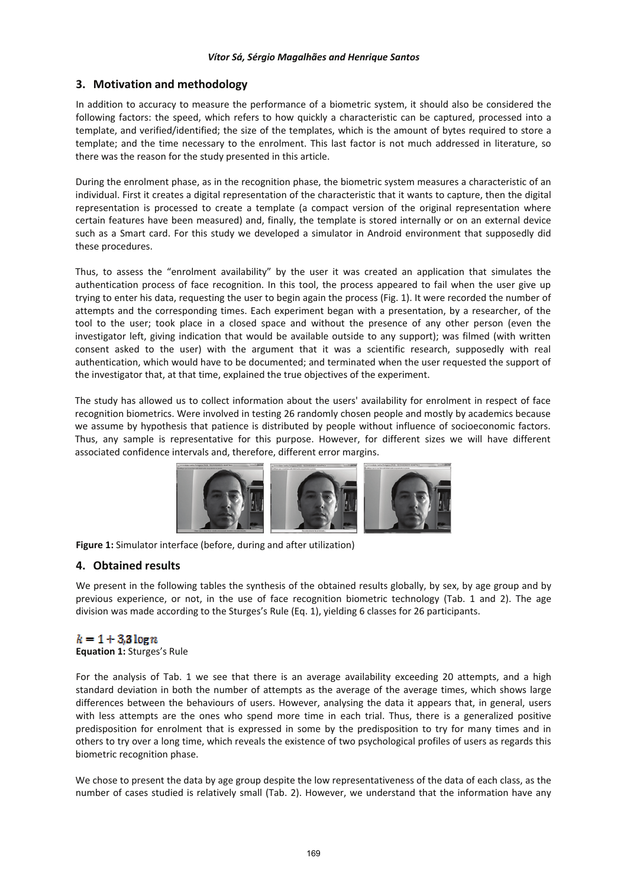## **3. Motivation and methodology**

In addition to accuracy to measure the performance of a biometric system, it should also be considered the following factors: the speed, which refers to how quickly a characteristic can be captured, processed into a template, and verified/identified; the size of the templates, which is the amount of bytes required to store a template; and the time necessary to the enrolment. This last factor is not much addressed in literature, so there was the reason for the study presented in this article.

During the enrolment phase, as in the recognition phase, the biometric system measures a characteristic of an individual. First it creates a digital representation of the characteristic that it wants to capture, then the digital representation is processed to create a template (a compact version of the original representation where certain features have been measured) and, finally, the template is stored internally or on an external device such as a Smart card. For this study we developed a simulator in Android environment that supposedly did these procedures.

Thus, to assess the "enrolment availability" by the user it was created an application that simulates the authentication process of face recognition. In this tool, the process appeared to fail when the user give up trying to enter his data, requesting the user to begin again the process (Fig. 1). It were recorded the number of attempts and the corresponding times. Each experiment began with a presentation, by a researcher, of the tool to the user; took place in a closed space and without the presence of any other person (even the investigator left, giving indication that would be available outside to any support); was filmed (with written consent asked to the user) with the argument that it was a scientific research, supposedly with real authentication, which would have to be documented; and terminated when the user requested the support of the investigator that, at that time, explained the true objectives of the experiment.

The study has allowed us to collect information about the users' availability for enrolment in respect of face recognition biometrics. Were involved in testing 26 randomly chosen people and mostly by academics because we assume by hypothesis that patience is distributed by people without influence of socioeconomic factors. Thus, any sample is representative for this purpose. However, for different sizes we will have different associated confidence intervals and, therefore, different error margins.



**Figure 1:** Simulator interface (before, during and after utilization)

### **4. Obtained results**

We present in the following tables the synthesis of the obtained results globally, by sex, by age group and by previous experience, or not, in the use of face recognition biometric technology (Tab. 1 and 2). The age division was made according to the Sturges's Rule (Eq. 1), yielding 6 classes for 26 participants.

# $k = 1 + 3.3 \log n$

**Equation 1:** Sturges's Rule

For the analysis of Tab. 1 we see that there is an average availability exceeding 20 attempts, and a high standard deviation in both the number of attempts as the average of the average times, which shows large differences between the behaviours of users. However, analysing the data it appears that, in general, users with less attempts are the ones who spend more time in each trial. Thus, there is a generalized positive predisposition for enrolment that is expressed in some by the predisposition to try for many times and in others to try over a long time, which reveals the existence of two psychological profiles of users as regards this biometric recognition phase.

We chose to present the data by age group despite the low representativeness of the data of each class, as the number of cases studied is relatively small (Tab. 2). However, we understand that the information have any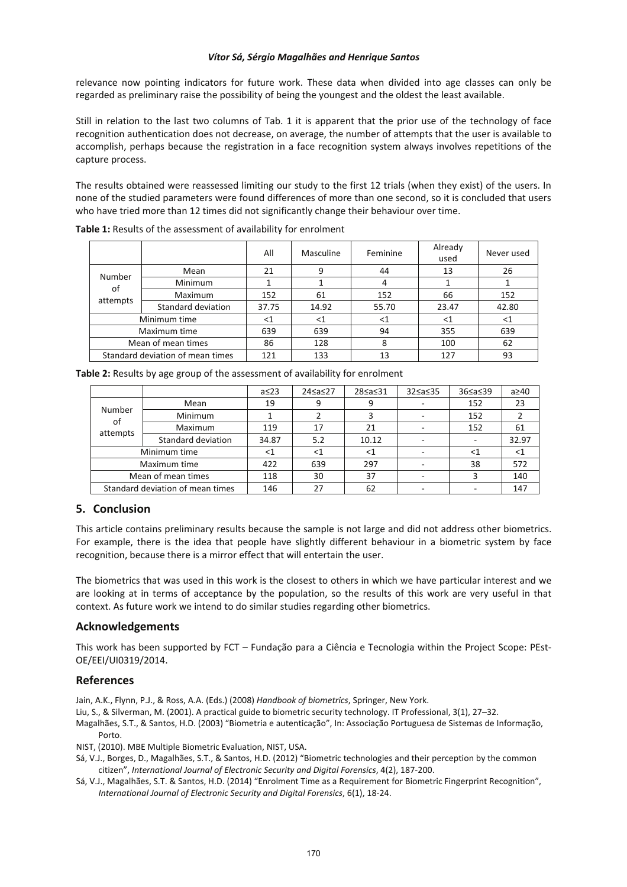### *Vítor Sá, Sérgio Magalhães and Henrique Santos*

relevance now pointing indicators for future work. These data when divided into age classes can only be regarded as preliminary raise the possibility of being the youngest and the oldest the least available.

Still in relation to the last two columns of Tab. 1 it is apparent that the prior use of the technology of face recognition authentication does not decrease, on average, the number of attempts that the user is available to accomplish, perhaps because the registration in a face recognition system always involves repetitions of the capture process.

The results obtained were reassessed limiting our study to the first 12 trials (when they exist) of the users. In none of the studied parameters were found differences of more than one second, so it is concluded that users who have tried more than 12 times did not significantly change their behaviour over time.

|                                  |                    | All   | Masculine | Feminine | Already<br>used | Never used |  |
|----------------------------------|--------------------|-------|-----------|----------|-----------------|------------|--|
| Number<br>οf<br>attempts         | Mean               | 21    | 9         | 44       | 13              | 26         |  |
|                                  | <b>Minimum</b>     |       |           |          |                 |            |  |
|                                  | Maximum            | 152   | 61        | 152      | 66              | 152        |  |
|                                  | Standard deviation | 37.75 | 14.92     | 55.70    | 23.47           | 42.80      |  |
| Minimum time                     |                    | $<$ 1 | $<$ 1     | ${<}1$   | $<$ 1           | $<$ 1      |  |
| Maximum time                     |                    | 639   | 639       | 94       | 355             | 639        |  |
| Mean of mean times               |                    | 86    | 128       | 8        | 100             | 62         |  |
| Standard deviation of mean times |                    | 121   | 133       | 13       | 127             | 93         |  |

**Table 1:** Results of the assessment of availability for enrolment

|                                  |                    | $a \leq 23$ | 24≤a≤27 | 28≤a≤31  | 32≤a≤35 | 36≤a≤39 | $a \geq 40$ |
|----------------------------------|--------------------|-------------|---------|----------|---------|---------|-------------|
| Number<br>of<br>attempts         | Mean               | 19          | 9       | q        |         | 152     | 23          |
|                                  | <b>Minimum</b>     |             |         |          |         | 152     |             |
|                                  | Maximum            | 119         | 17      | 21       |         | 152     | 61          |
|                                  | Standard deviation | 34.87       | 5.2     | 10.12    |         |         | 32.97       |
| Minimum time                     |                    | $<$ 1       | ${<}1$  | $\leq 1$ |         | <1      | <1          |
| Maximum time                     |                    | 422         | 639     | 297      |         | 38      | 572         |
| Mean of mean times               |                    | 118         | 30      | 37       |         |         | 140         |
| Standard deviation of mean times |                    | 146         | 27      | 62       |         |         | 147         |

**Table 2:** Results by age group of the assessment of availability for enrolment

### **5. Conclusion**

This article contains preliminary results because the sample is not large and did not address other biometrics. For example, there is the idea that people have slightly different behaviour in a biometric system by face recognition, because there is a mirror effect that will entertain the user.

The biometrics that was used in this work is the closest to others in which we have particular interest and we are looking at in terms of acceptance by the population, so the results of this work are very useful in that context. As future work we intend to do similar studies regarding other biometrics.

### **Acknowledgements**

This work has been supported by FCT – Fundação para a Ciência e Tecnologia within the Project Scope: PEst‐ OE/EEI/UI0319/2014.

### **References**

Jain, A.K., Flynn, P.J., & Ross, A.A. (Eds.) (2008) *Handbook of biometrics*, Springer, New York.

Liu, S., & Silverman, M. (2001). A practical guide to biometric security technology. IT Professional, 3(1), 27–32.

Magalhães, S.T., & Santos, H.D. (2003) "Biometria e autenticação", In: Associação Portuguesa de Sistemas de Informação, Porto.

NIST, (2010). MBE Multiple Biometric Evaluation, NIST, USA.

- Sá, V.J., Borges, D., Magalhães, S.T., & Santos, H.D. (2012) "Biometric technologies and their perception by the common citizen", *International Journal of Electronic Security and Digital Forensics*, 4(2), 187‐200.
- Sá, V.J., Magalhães, S.T. & Santos, H.D. (2014) "Enrolment Time as a Requirement for Biometric Fingerprint Recognition", *International Journal of Electronic Security and Digital Forensics*, 6(1), 18‐24.